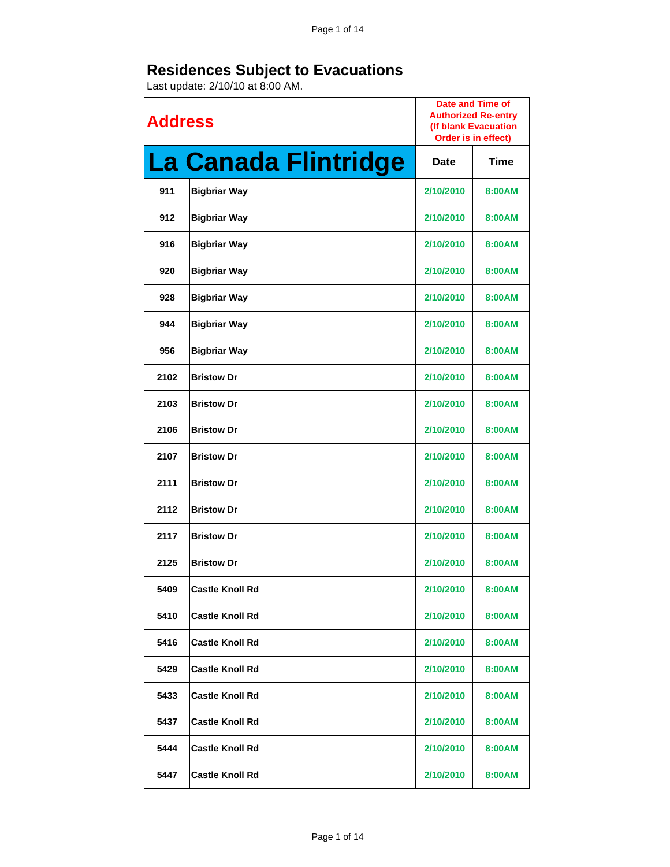| <b>Address</b> |                             | Date and Time of<br><b>Authorized Re-entry</b><br>(If blank Evacuation<br>Order is in effect) |        |
|----------------|-----------------------------|-----------------------------------------------------------------------------------------------|--------|
|                | <b>La Canada Flintridge</b> | Date                                                                                          | Time   |
| 911            | <b>Bigbriar Way</b>         | 2/10/2010                                                                                     | 8:00AM |
| 912            | <b>Bigbriar Way</b>         | 2/10/2010                                                                                     | 8:00AM |
| 916            | <b>Bigbriar Way</b>         | 2/10/2010                                                                                     | 8:00AM |
| 920            | <b>Bigbriar Way</b>         | 2/10/2010                                                                                     | 8:00AM |
| 928            | <b>Bigbriar Way</b>         | 2/10/2010                                                                                     | 8:00AM |
| 944            | <b>Bigbriar Way</b>         | 2/10/2010                                                                                     | 8:00AM |
| 956            | <b>Bigbriar Way</b>         | 2/10/2010                                                                                     | 8:00AM |
| 2102           | <b>Bristow Dr</b>           | 2/10/2010                                                                                     | 8:00AM |
| 2103           | <b>Bristow Dr</b>           | 2/10/2010                                                                                     | 8:00AM |
| 2106           | <b>Bristow Dr</b>           | 2/10/2010                                                                                     | 8:00AM |
| 2107           | <b>Bristow Dr</b>           | 2/10/2010                                                                                     | 8:00AM |
| 2111           | <b>Bristow Dr</b>           | 2/10/2010                                                                                     | 8:00AM |
| 2112           | <b>Bristow Dr</b>           | 2/10/2010                                                                                     | 8:00AM |
| 2117           | <b>Bristow Dr</b>           | 2/10/2010                                                                                     | 8:00AM |
| 2125           | <b>Bristow Dr</b>           | 2/10/2010                                                                                     | 8:00AM |
| 5409           | <b>Castle Knoll Rd</b>      | 2/10/2010                                                                                     | 8:00AM |
| 5410           | <b>Castle Knoll Rd</b>      | 2/10/2010                                                                                     | 8:00AM |
| 5416           | <b>Castle Knoll Rd</b>      | 2/10/2010                                                                                     | 8:00AM |
| 5429           | <b>Castle Knoll Rd</b>      | 2/10/2010                                                                                     | 8:00AM |
| 5433           | <b>Castle Knoll Rd</b>      | 2/10/2010                                                                                     | 8:00AM |
| 5437           | <b>Castle Knoll Rd</b>      | 2/10/2010                                                                                     | 8:00AM |
| 5444           | <b>Castle Knoll Rd</b>      | 2/10/2010                                                                                     | 8:00AM |
| 5447           | <b>Castle Knoll Rd</b>      | 2/10/2010                                                                                     | 8:00AM |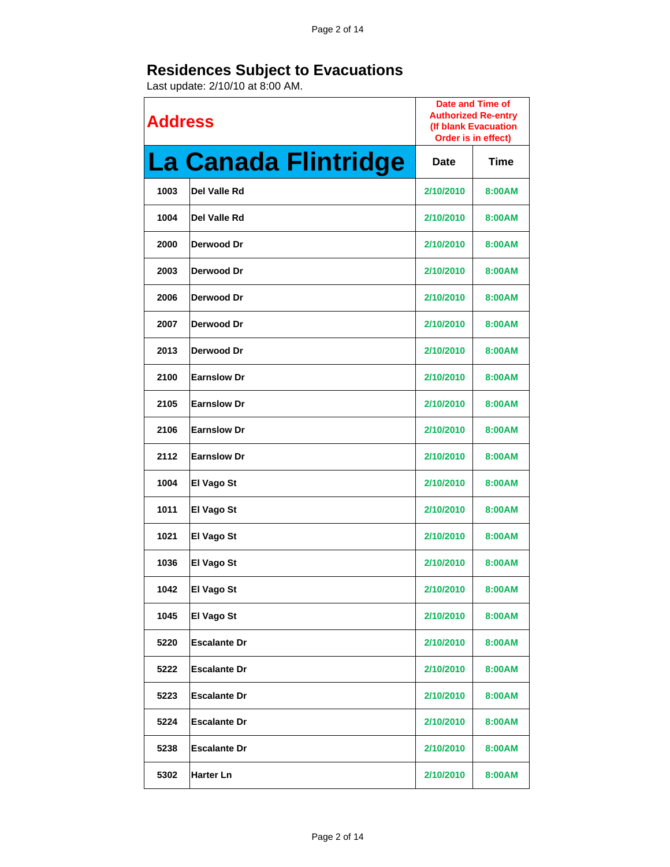| <b>Address</b> |                      | <b>Date and Time of</b><br><b>Authorized Re-entry</b><br>(If blank Evacuation<br>Order is in effect) |             |
|----------------|----------------------|------------------------------------------------------------------------------------------------------|-------------|
|                | La Canada Flintridge | <b>Date</b>                                                                                          | <b>Time</b> |
| 1003           | Del Valle Rd         | 2/10/2010                                                                                            | 8:00AM      |
| 1004           | Del Valle Rd         | 2/10/2010                                                                                            | 8:00AM      |
| 2000           | Derwood Dr           | 2/10/2010                                                                                            | 8:00AM      |
| 2003           | Derwood Dr           | 2/10/2010                                                                                            | 8:00AM      |
| 2006           | Derwood Dr           | 2/10/2010                                                                                            | 8:00AM      |
| 2007           | Derwood Dr           | 2/10/2010                                                                                            | 8:00AM      |
| 2013           | Derwood Dr           | 2/10/2010                                                                                            | 8:00AM      |
| 2100           | <b>Earnslow Dr</b>   | 2/10/2010                                                                                            | 8:00AM      |
| 2105           | <b>Earnslow Dr</b>   | 2/10/2010                                                                                            | 8:00AM      |
| 2106           | <b>Earnslow Dr</b>   | 2/10/2010                                                                                            | 8:00AM      |
| 2112           | <b>Earnslow Dr</b>   | 2/10/2010                                                                                            | 8:00AM      |
| 1004           | El Vago St           | 2/10/2010                                                                                            | 8:00AM      |
| 1011           | El Vago St           | 2/10/2010                                                                                            | 8:00AM      |
| 1021           | El Vago St           | 2/10/2010                                                                                            | 8:00AM      |
| 1036           | <b>El Vago St</b>    | 2/10/2010                                                                                            | 8:00AM      |
| 1042           | El Vago St           | 2/10/2010                                                                                            | 8:00AM      |
| 1045           | El Vago St           | 2/10/2010                                                                                            | 8:00AM      |
| 5220           | <b>Escalante Dr</b>  | 2/10/2010                                                                                            | 8:00AM      |
| 5222           | <b>Escalante Dr</b>  | 2/10/2010                                                                                            | 8:00AM      |
| 5223           | <b>Escalante Dr</b>  | 2/10/2010                                                                                            | 8:00AM      |
| 5224           | <b>Escalante Dr</b>  | 2/10/2010                                                                                            | 8:00AM      |
| 5238           | <b>Escalante Dr</b>  | 2/10/2010                                                                                            | 8:00AM      |
| 5302           | <b>Harter Ln</b>     | 2/10/2010                                                                                            | 8:00AM      |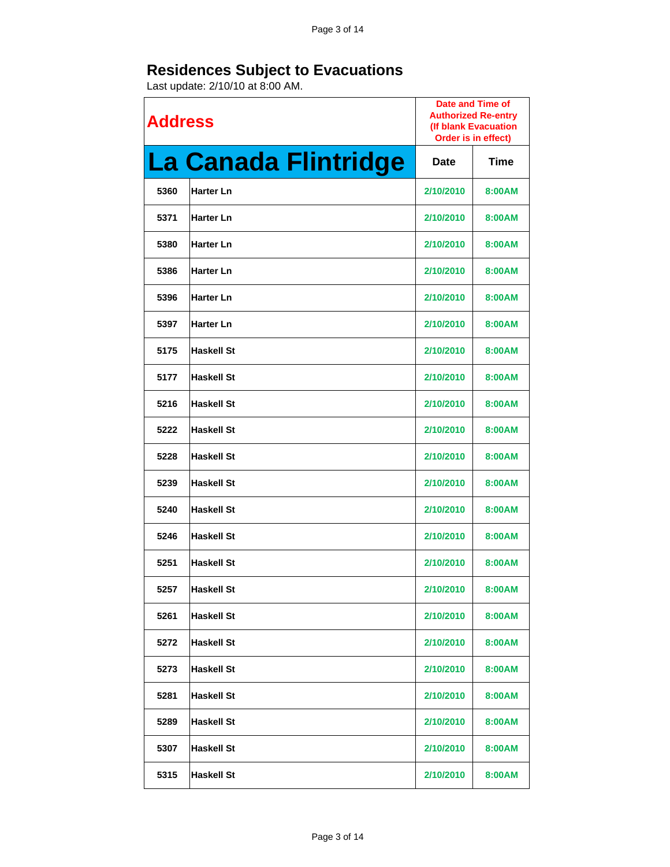| <b>Address</b> |                      | <b>Date and Time of</b><br><b>Authorized Re-entry</b><br>(If blank Evacuation<br>Order is in effect) |             |
|----------------|----------------------|------------------------------------------------------------------------------------------------------|-------------|
|                | La Canada Flintridge | Date                                                                                                 | <b>Time</b> |
| 5360           | <b>Harter Ln</b>     | 2/10/2010                                                                                            | 8:00AM      |
| 5371           | <b>Harter Ln</b>     | 2/10/2010                                                                                            | 8:00AM      |
| 5380           | <b>Harter Ln</b>     | 2/10/2010                                                                                            | 8:00AM      |
| 5386           | <b>Harter Ln</b>     | 2/10/2010                                                                                            | 8:00AM      |
| 5396           | <b>Harter Ln</b>     | 2/10/2010                                                                                            | 8:00AM      |
| 5397           | <b>Harter Ln</b>     | 2/10/2010                                                                                            | 8:00AM      |
| 5175           | <b>Haskell St</b>    | 2/10/2010                                                                                            | 8:00AM      |
| 5177           | <b>Haskell St</b>    | 2/10/2010                                                                                            | 8:00AM      |
| 5216           | <b>Haskell St</b>    | 2/10/2010                                                                                            | 8:00AM      |
| 5222           | <b>Haskell St</b>    | 2/10/2010                                                                                            | 8:00AM      |
| 5228           | <b>Haskell St</b>    | 2/10/2010                                                                                            | 8:00AM      |
| 5239           | <b>Haskell St</b>    | 2/10/2010                                                                                            | 8:00AM      |
| 5240           | <b>Haskell St</b>    | 2/10/2010                                                                                            | 8:00AM      |
| 5246           | <b>Haskell St</b>    | 2/10/2010                                                                                            | 8:00AM      |
| 5251           | <b>Haskell St</b>    | 2/10/2010                                                                                            | 8:00AM      |
| 5257           | <b>Haskell St</b>    | 2/10/2010                                                                                            | 8:00AM      |
| 5261           | <b>Haskell St</b>    | 2/10/2010                                                                                            | 8:00AM      |
| 5272           | <b>Haskell St</b>    | 2/10/2010                                                                                            | 8:00AM      |
| 5273           | <b>Haskell St</b>    | 2/10/2010                                                                                            | 8:00AM      |
| 5281           | <b>Haskell St</b>    | 2/10/2010                                                                                            | 8:00AM      |
| 5289           | <b>Haskell St</b>    | 2/10/2010                                                                                            | 8:00AM      |
| 5307           | <b>Haskell St</b>    | 2/10/2010                                                                                            | 8:00AM      |
| 5315           | <b>Haskell St</b>    | 2/10/2010                                                                                            | 8:00AM      |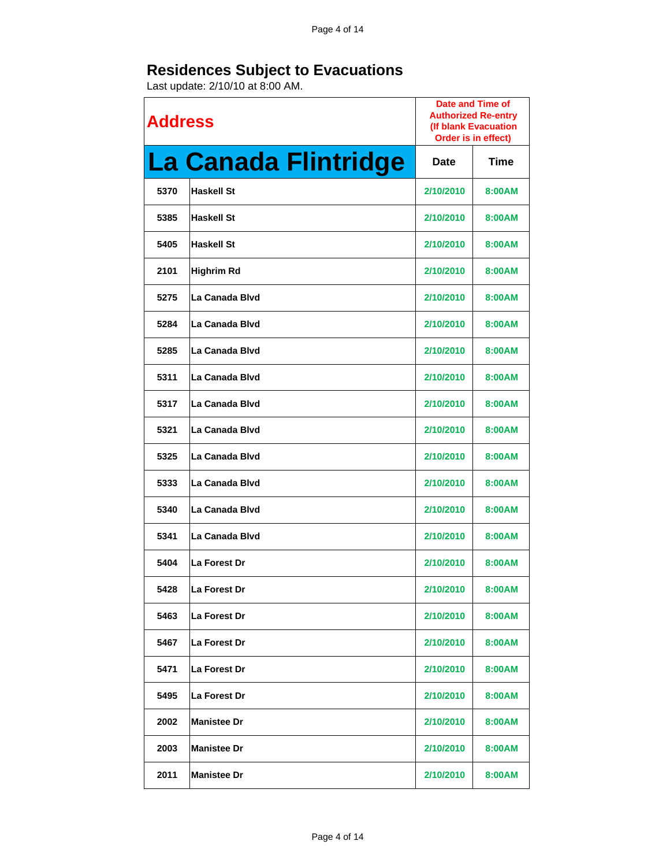| <b>Address</b> |                      | Date and Time of<br><b>Authorized Re-entry</b><br>(If blank Evacuation<br>Order is in effect) |             |
|----------------|----------------------|-----------------------------------------------------------------------------------------------|-------------|
|                | La Canada Flintridge | Date                                                                                          | <b>Time</b> |
| 5370           | <b>Haskell St</b>    | 2/10/2010                                                                                     | 8:00AM      |
| 5385           | <b>Haskell St</b>    | 2/10/2010                                                                                     | 8:00AM      |
| 5405           | <b>Haskell St</b>    | 2/10/2010                                                                                     | 8:00AM      |
| 2101           | <b>Highrim Rd</b>    | 2/10/2010                                                                                     | 8:00AM      |
| 5275           | La Canada Blvd       | 2/10/2010                                                                                     | 8:00AM      |
| 5284           | La Canada Blvd       | 2/10/2010                                                                                     | 8:00AM      |
| 5285           | La Canada Blvd       | 2/10/2010                                                                                     | 8:00AM      |
| 5311           | La Canada Blyd       | 2/10/2010                                                                                     | 8:00AM      |
| 5317           | La Canada Blvd       | 2/10/2010                                                                                     | 8:00AM      |
| 5321           | La Canada Blyd       | 2/10/2010                                                                                     | 8:00AM      |
| 5325           | La Canada Blvd       | 2/10/2010                                                                                     | 8:00AM      |
| 5333           | La Canada Blvd       | 2/10/2010                                                                                     | 8:00AM      |
| 5340           | La Canada Blvd       | 2/10/2010                                                                                     | 8:00AM      |
| 5341           | La Canada Blvd       | 2/10/2010                                                                                     | 8:00AM      |
| 5404           | La Forest Dr         | 2/10/2010                                                                                     | 8:00AM      |
| 5428           | La Forest Dr         | 2/10/2010                                                                                     | 8:00AM      |
| 5463           | La Forest Dr         | 2/10/2010                                                                                     | 8:00AM      |
| 5467           | La Forest Dr         | 2/10/2010                                                                                     | 8:00AM      |
| 5471           | <b>La Forest Dr</b>  | 2/10/2010                                                                                     | 8:00AM      |
| 5495           | La Forest Dr         | 2/10/2010                                                                                     | 8:00AM      |
| 2002           | <b>Manistee Dr</b>   | 2/10/2010                                                                                     | 8:00AM      |
| 2003           | <b>Manistee Dr</b>   | 2/10/2010                                                                                     | 8:00AM      |
| 2011           | <b>Manistee Dr</b>   | 2/10/2010                                                                                     | 8:00AM      |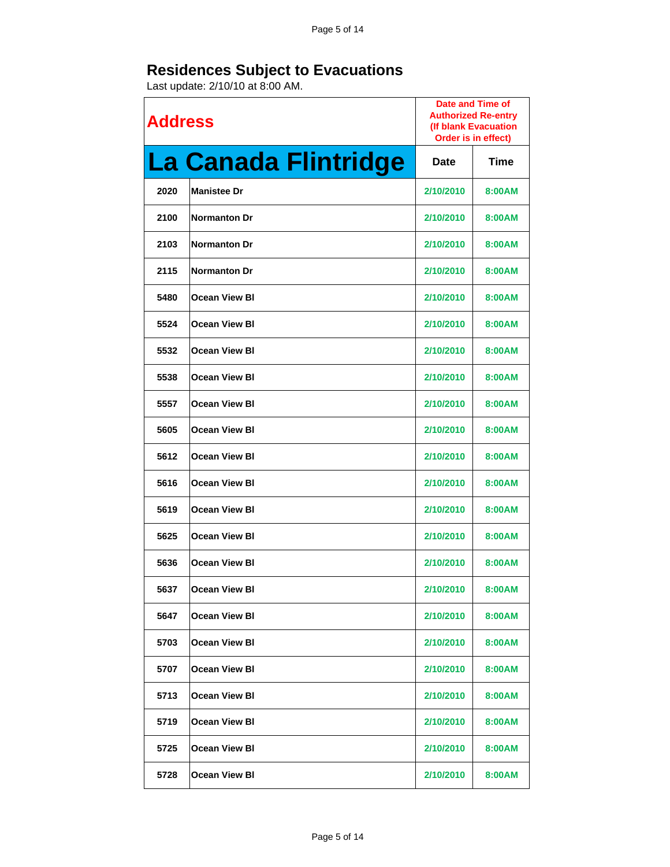| <b>Address</b> |                      | Date and Time of<br><b>Authorized Re-entry</b><br>(If blank Evacuation<br>Order is in effect) |        |
|----------------|----------------------|-----------------------------------------------------------------------------------------------|--------|
|                | La Canada Flintridge | Date                                                                                          | Time   |
| 2020           | <b>Manistee Dr</b>   | 2/10/2010                                                                                     | 8:00AM |
| 2100           | <b>Normanton Dr</b>  | 2/10/2010                                                                                     | 8:00AM |
| 2103           | <b>Normanton Dr</b>  | 2/10/2010                                                                                     | 8:00AM |
| 2115           | <b>Normanton Dr</b>  | 2/10/2010                                                                                     | 8:00AM |
| 5480           | <b>Ocean View BI</b> | 2/10/2010                                                                                     | 8:00AM |
| 5524           | <b>Ocean View BI</b> | 2/10/2010                                                                                     | 8:00AM |
| 5532           | <b>Ocean View BI</b> | 2/10/2010                                                                                     | 8:00AM |
| 5538           | <b>Ocean View BI</b> | 2/10/2010                                                                                     | 8:00AM |
| 5557           | <b>Ocean View BI</b> | 2/10/2010                                                                                     | 8:00AM |
| 5605           | <b>Ocean View BI</b> | 2/10/2010                                                                                     | 8:00AM |
| 5612           | <b>Ocean View BI</b> | 2/10/2010                                                                                     | 8:00AM |
| 5616           | <b>Ocean View BI</b> | 2/10/2010                                                                                     | 8:00AM |
| 5619           | <b>Ocean View BI</b> | 2/10/2010                                                                                     | 8:00AM |
| 5625           | <b>Ocean View BI</b> | 2/10/2010                                                                                     | 8:00AM |
| 5636           | <b>Ocean View BI</b> | 2/10/2010                                                                                     | 8:00AM |
| 5637           | <b>Ocean View BI</b> | 2/10/2010                                                                                     | 8:00AM |
| 5647           | <b>Ocean View BI</b> | 2/10/2010                                                                                     | 8:00AM |
| 5703           | <b>Ocean View BI</b> | 2/10/2010                                                                                     | 8:00AM |
| 5707           | <b>Ocean View BI</b> | 2/10/2010                                                                                     | 8:00AM |
| 5713           | <b>Ocean View BI</b> | 2/10/2010                                                                                     | 8:00AM |
| 5719           | <b>Ocean View BI</b> | 2/10/2010                                                                                     | 8:00AM |
| 5725           | <b>Ocean View BI</b> | 2/10/2010                                                                                     | 8:00AM |
| 5728           | <b>Ocean View BI</b> | 2/10/2010                                                                                     | 8:00AM |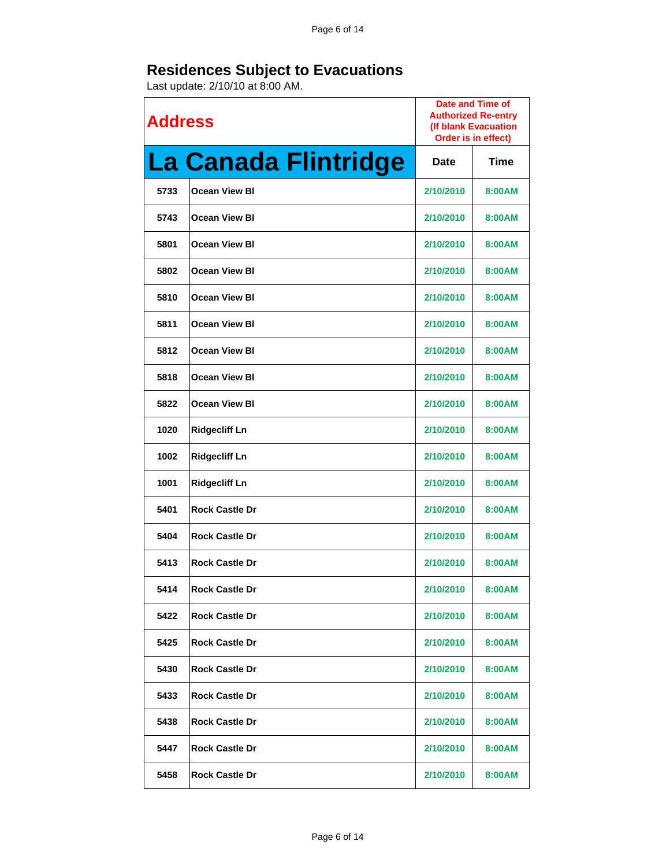| <b>Address</b> |                       | Date and Time of<br><b>Authorized Re-entry</b><br>(If blank Evacuation<br>Order is in effect) |             |
|----------------|-----------------------|-----------------------------------------------------------------------------------------------|-------------|
|                | La Canada Flintridge  | Date                                                                                          | <b>Time</b> |
| 5733           | <b>Ocean View BI</b>  | 2/10/2010                                                                                     | 8:00AM      |
| 5743           | <b>Ocean View BI</b>  | 2/10/2010                                                                                     | 8:00AM      |
| 5801           | <b>Ocean View BI</b>  | 2/10/2010                                                                                     | 8:00AM      |
| 5802           | <b>Ocean View BI</b>  | 2/10/2010                                                                                     | 8:00AM      |
| 5810           | <b>Ocean View BI</b>  | 2/10/2010                                                                                     | 8:00AM      |
| 5811           | <b>Ocean View BI</b>  | 2/10/2010                                                                                     | 8:00AM      |
| 5812           | <b>Ocean View BI</b>  | 2/10/2010                                                                                     | 8:00AM      |
| 5818           | <b>Ocean View BI</b>  | 2/10/2010                                                                                     | 8:00AM      |
| 5822           | <b>Ocean View BI</b>  | 2/10/2010                                                                                     | 8:00AM      |
| 1020           | <b>Ridgecliff Ln</b>  | 2/10/2010                                                                                     | 8:00AM      |
| 1002           | <b>Ridgecliff Ln</b>  | 2/10/2010                                                                                     | 8:00AM      |
| 1001           | <b>Ridgecliff Ln</b>  | 2/10/2010                                                                                     | 8:00AM      |
| 5401           | <b>Rock Castle Dr</b> | 2/10/2010                                                                                     | 8:00AM      |
| 5404           | <b>Rock Castle Dr</b> | 2/10/2010                                                                                     | 8:00AM      |
| 5413           | <b>Rock Castle Dr</b> | 2/10/2010                                                                                     | 8:00AM      |
| 5414           | <b>Rock Castle Dr</b> | 2/10/2010                                                                                     | 8:00AM      |
| 5422           | <b>Rock Castle Dr</b> | 2/10/2010                                                                                     | 8:00AM      |
| 5425           | <b>Rock Castle Dr</b> | 2/10/2010                                                                                     | 8:00AM      |
| 5430           | <b>Rock Castle Dr</b> | 2/10/2010                                                                                     | 8:00AM      |
| 5433           | <b>Rock Castle Dr</b> | 2/10/2010                                                                                     | 8:00AM      |
| 5438           | <b>Rock Castle Dr</b> | 2/10/2010                                                                                     | 8:00AM      |
| 5447           | <b>Rock Castle Dr</b> | 2/10/2010                                                                                     | 8:00AM      |
| 5458           | <b>Rock Castle Dr</b> | 2/10/2010                                                                                     | 8:00AM      |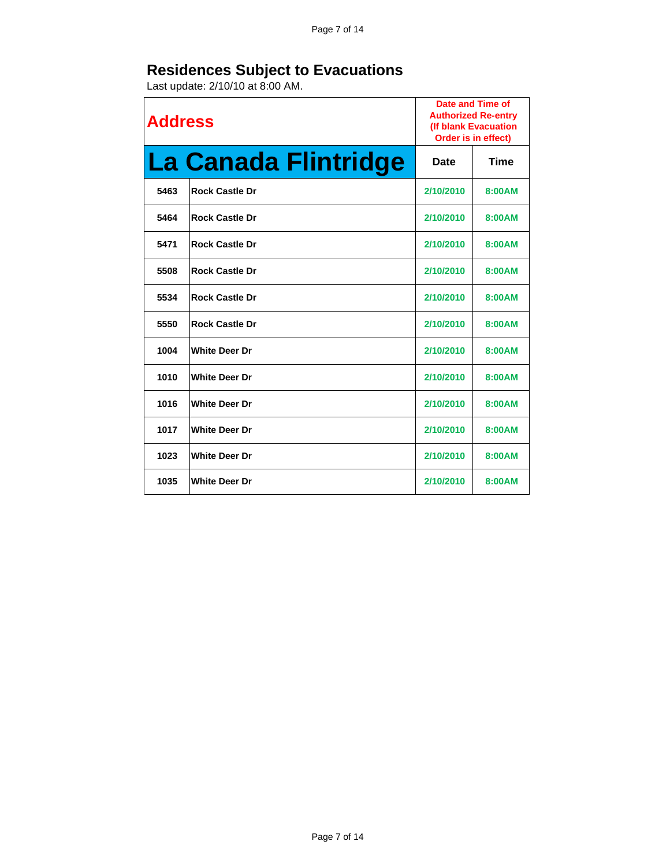| <b>Address</b> |                             | Date and Time of<br><b>Authorized Re-entry</b><br>(If blank Evacuation<br>Order is in effect) |        |
|----------------|-----------------------------|-----------------------------------------------------------------------------------------------|--------|
|                | <b>La Canada Flintridge</b> | Date                                                                                          | Time   |
| 5463           | <b>Rock Castle Dr</b>       | 2/10/2010                                                                                     | 8:00AM |
| 5464           | <b>Rock Castle Dr</b>       | 2/10/2010                                                                                     | 8:00AM |
| 5471           | <b>Rock Castle Dr</b>       | 2/10/2010                                                                                     | 8:00AM |
| 5508           | <b>Rock Castle Dr</b>       | 2/10/2010                                                                                     | 8:00AM |
| 5534           | <b>Rock Castle Dr</b>       | 2/10/2010                                                                                     | 8:00AM |
| 5550           | <b>Rock Castle Dr</b>       | 2/10/2010                                                                                     | 8:00AM |
| 1004           | <b>White Deer Dr</b>        | 2/10/2010                                                                                     | 8:00AM |
| 1010           | <b>White Deer Dr</b>        | 2/10/2010                                                                                     | 8:00AM |
| 1016           | <b>White Deer Dr</b>        | 2/10/2010                                                                                     | 8:00AM |
| 1017           | <b>White Deer Dr</b>        | 2/10/2010                                                                                     | 8:00AM |
| 1023           | <b>White Deer Dr</b>        | 2/10/2010                                                                                     | 8:00AM |
| 1035           | <b>White Deer Dr</b>        | 2/10/2010                                                                                     | 8:00AM |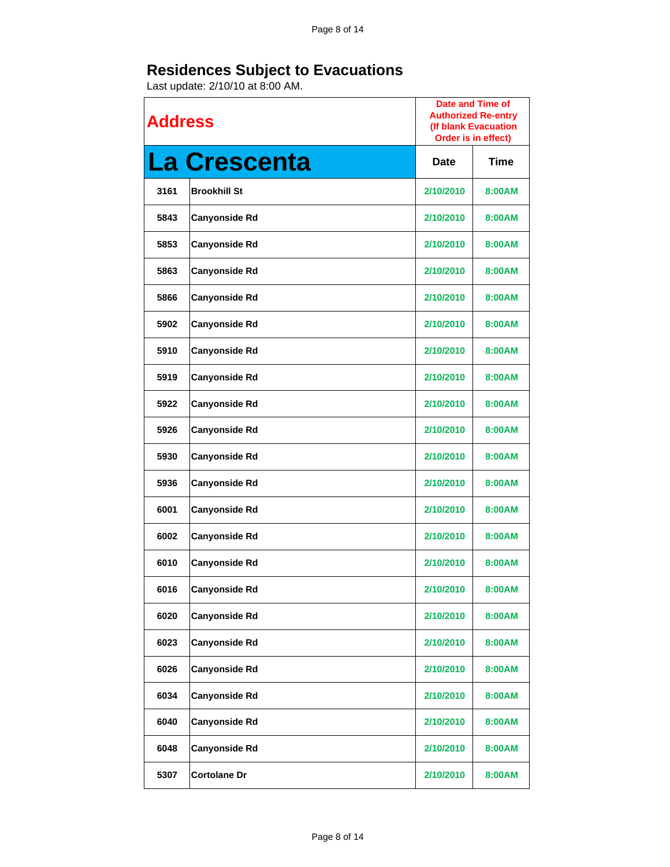| <b>Address</b> |                      | Date and Time of<br><b>Authorized Re-entry</b><br>(If blank Evacuation<br>Order is in effect) |             |
|----------------|----------------------|-----------------------------------------------------------------------------------------------|-------------|
|                | <b>La Crescenta</b>  | <b>Date</b>                                                                                   | <b>Time</b> |
| 3161           | <b>Brookhill St</b>  | 2/10/2010                                                                                     | 8:00AM      |
| 5843           | <b>Canyonside Rd</b> | 2/10/2010                                                                                     | 8:00AM      |
| 5853           | <b>Canyonside Rd</b> | 2/10/2010                                                                                     | 8:00AM      |
| 5863           | <b>Canyonside Rd</b> | 2/10/2010                                                                                     | 8:00AM      |
| 5866           | <b>Canyonside Rd</b> | 2/10/2010                                                                                     | 8:00AM      |
| 5902           | <b>Canyonside Rd</b> | 2/10/2010                                                                                     | 8:00AM      |
| 5910           | <b>Canyonside Rd</b> | 2/10/2010                                                                                     | 8:00AM      |
| 5919           | <b>Canyonside Rd</b> | 2/10/2010                                                                                     | 8:00AM      |
| 5922           | <b>Canyonside Rd</b> | 2/10/2010                                                                                     | 8:00AM      |
| 5926           | <b>Canyonside Rd</b> | 2/10/2010                                                                                     | 8:00AM      |
| 5930           | <b>Canyonside Rd</b> | 2/10/2010                                                                                     | 8:00AM      |
| 5936           | <b>Canyonside Rd</b> | 2/10/2010                                                                                     | 8:00AM      |
| 6001           | <b>Canyonside Rd</b> | 2/10/2010                                                                                     | 8:00AM      |
| 6002           | <b>Canyonside Rd</b> | 2/10/2010                                                                                     | 8:00AM      |
| 6010           | <b>Canyonside Rd</b> | 2/10/2010                                                                                     | 8:00AM      |
| 6016           | <b>Canyonside Rd</b> | 2/10/2010                                                                                     | 8:00AM      |
| 6020           | <b>Canyonside Rd</b> | 2/10/2010                                                                                     | 8:00AM      |
| 6023           | <b>Canyonside Rd</b> | 2/10/2010                                                                                     | 8:00AM      |
| 6026           | <b>Canyonside Rd</b> | 2/10/2010                                                                                     | 8:00AM      |
| 6034           | <b>Canyonside Rd</b> | 2/10/2010                                                                                     | 8:00AM      |
| 6040           | <b>Canyonside Rd</b> | 2/10/2010                                                                                     | 8:00AM      |
| 6048           | <b>Canyonside Rd</b> | 2/10/2010                                                                                     | 8:00AM      |
| 5307           | <b>Cortolane Dr</b>  | 2/10/2010                                                                                     | 8:00AM      |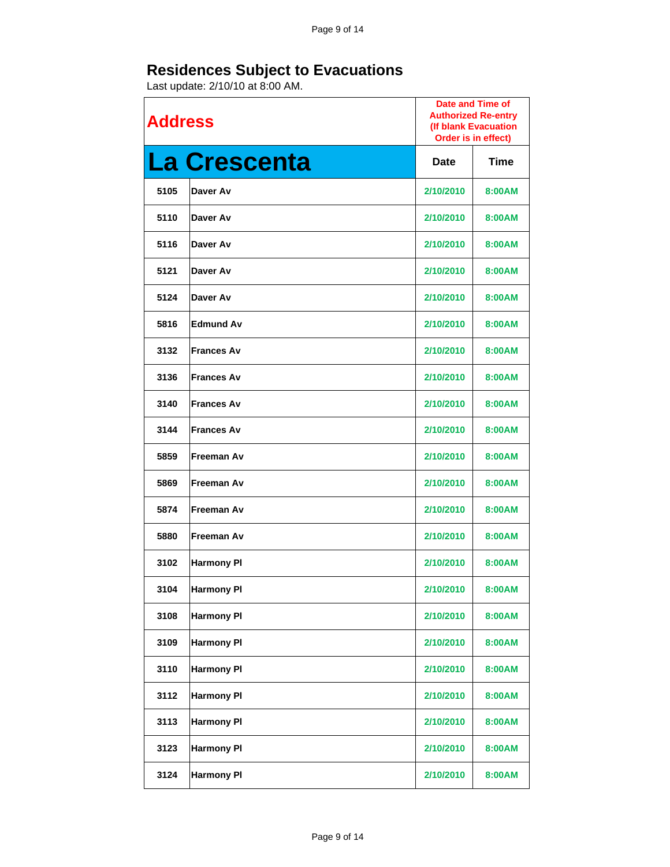| <b>Address</b> |                     | Date and Time of<br><b>Authorized Re-entry</b><br>(If blank Evacuation<br>Order is in effect) |        |
|----------------|---------------------|-----------------------------------------------------------------------------------------------|--------|
|                | <b>La Crescenta</b> | <b>Date</b>                                                                                   | Time   |
| 5105           | Daver Av            | 2/10/2010                                                                                     | 8:00AM |
| 5110           | Daver Av            | 2/10/2010                                                                                     | 8:00AM |
| 5116           | Daver Av            | 2/10/2010                                                                                     | 8:00AM |
| 5121           | Daver Av            | 2/10/2010                                                                                     | 8:00AM |
| 5124           | Daver Av            | 2/10/2010                                                                                     | 8:00AM |
| 5816           | <b>Edmund Av</b>    | 2/10/2010                                                                                     | 8:00AM |
| 3132           | <b>Frances Av</b>   | 2/10/2010                                                                                     | 8:00AM |
| 3136           | <b>Frances Av</b>   | 2/10/2010                                                                                     | 8:00AM |
| 3140           | <b>Frances Av</b>   | 2/10/2010                                                                                     | 8:00AM |
| 3144           | <b>Frances Av</b>   | 2/10/2010                                                                                     | 8:00AM |
| 5859           | <b>Freeman Av</b>   | 2/10/2010                                                                                     | 8:00AM |
| 5869           | <b>Freeman Av</b>   | 2/10/2010                                                                                     | 8:00AM |
| 5874           | <b>Freeman Av</b>   | 2/10/2010                                                                                     | 8:00AM |
| 5880           | Freeman Av          | 2/10/2010                                                                                     | 8:00AM |
| 3102           | <b>Harmony PI</b>   | 2/10/2010                                                                                     | 8:00AM |
| 3104           | <b>Harmony PI</b>   | 2/10/2010                                                                                     | 8:00AM |
| 3108           | <b>Harmony PI</b>   | 2/10/2010                                                                                     | 8:00AM |
| 3109           | <b>Harmony PI</b>   | 2/10/2010                                                                                     | 8:00AM |
| 3110           | <b>Harmony PI</b>   | 2/10/2010                                                                                     | 8:00AM |
| 3112           | <b>Harmony PI</b>   | 2/10/2010                                                                                     | 8:00AM |
| 3113           | <b>Harmony PI</b>   | 2/10/2010                                                                                     | 8:00AM |
| 3123           | <b>Harmony PI</b>   | 2/10/2010                                                                                     | 8:00AM |
| 3124           | <b>Harmony PI</b>   | 2/10/2010                                                                                     | 8:00AM |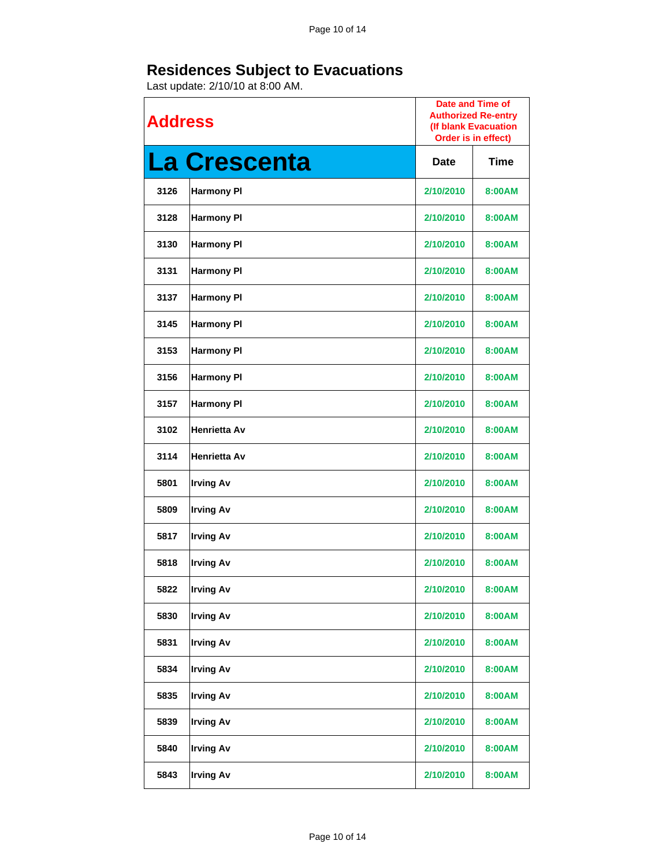| <b>Address</b> |                     | <b>Date and Time of</b><br><b>Authorized Re-entry</b><br>(If blank Evacuation<br>Order is in effect) |        |
|----------------|---------------------|------------------------------------------------------------------------------------------------------|--------|
|                | <b>La Crescenta</b> | <b>Date</b>                                                                                          | Time   |
| 3126           | <b>Harmony PI</b>   | 2/10/2010                                                                                            | 8:00AM |
| 3128           | <b>Harmony PI</b>   | 2/10/2010                                                                                            | 8:00AM |
| 3130           | <b>Harmony PI</b>   | 2/10/2010                                                                                            | 8:00AM |
| 3131           | <b>Harmony PI</b>   | 2/10/2010                                                                                            | 8:00AM |
| 3137           | <b>Harmony PI</b>   | 2/10/2010                                                                                            | 8:00AM |
| 3145           | <b>Harmony PI</b>   | 2/10/2010                                                                                            | 8:00AM |
| 3153           | <b>Harmony PI</b>   | 2/10/2010                                                                                            | 8:00AM |
| 3156           | <b>Harmony PI</b>   | 2/10/2010                                                                                            | 8:00AM |
| 3157           | <b>Harmony PI</b>   | 2/10/2010                                                                                            | 8:00AM |
| 3102           | <b>Henrietta Av</b> | 2/10/2010                                                                                            | 8:00AM |
| 3114           | <b>Henrietta Av</b> | 2/10/2010                                                                                            | 8:00AM |
| 5801           | <b>Irving Av</b>    | 2/10/2010                                                                                            | 8:00AM |
| 5809           | <b>Irving Av</b>    | 2/10/2010                                                                                            | 8:00AM |
| 5817           | <b>Irving Av</b>    | 2/10/2010                                                                                            | 8:00AM |
| 5818           | <b>Irving Av</b>    | 2/10/2010                                                                                            | 8:00AM |
| 5822           | <b>Irving Av</b>    | 2/10/2010                                                                                            | 8:00AM |
| 5830           | <b>Irving Av</b>    | 2/10/2010                                                                                            | 8:00AM |
| 5831           | <b>Irving Av</b>    | 2/10/2010                                                                                            | 8:00AM |
| 5834           | <b>Irving Av</b>    | 2/10/2010                                                                                            | 8:00AM |
| 5835           | <b>Irving Av</b>    | 2/10/2010                                                                                            | 8:00AM |
| 5839           | <b>Irving Av</b>    | 2/10/2010                                                                                            | 8:00AM |
| 5840           | <b>Irving Av</b>    | 2/10/2010                                                                                            | 8:00AM |
| 5843           | <b>Irving Av</b>    | 2/10/2010                                                                                            | 8:00AM |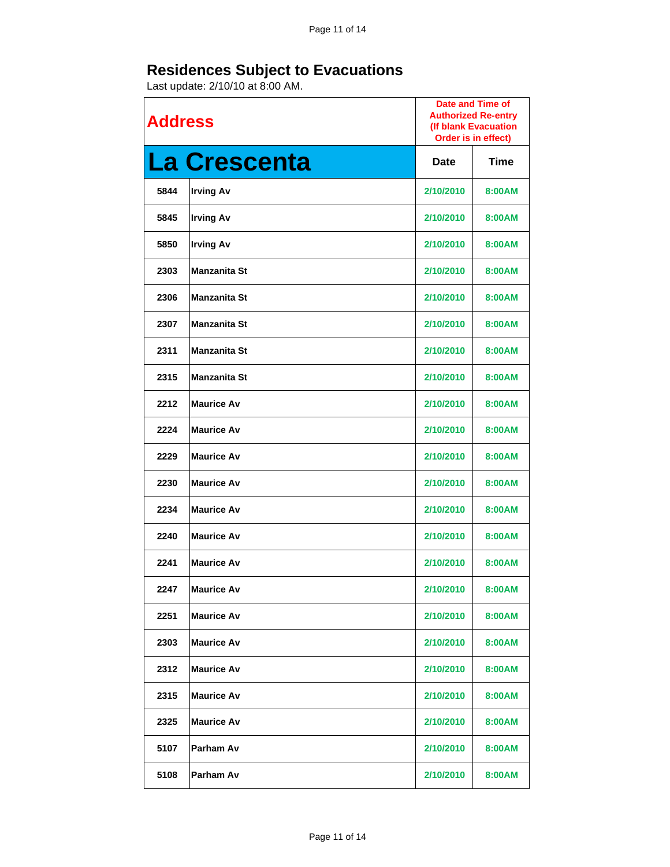| <b>Address</b> |                     | <b>Date and Time of</b><br><b>Authorized Re-entry</b><br>(If blank Evacuation<br>Order is in effect) |             |
|----------------|---------------------|------------------------------------------------------------------------------------------------------|-------------|
|                | <b>La Crescenta</b> | <b>Date</b>                                                                                          | <b>Time</b> |
| 5844           | <b>Irving Av</b>    | 2/10/2010                                                                                            | 8:00AM      |
| 5845           | <b>Irving Av</b>    | 2/10/2010                                                                                            | 8:00AM      |
| 5850           | <b>Irving Av</b>    | 2/10/2010                                                                                            | 8:00AM      |
| 2303           | <b>Manzanita St</b> | 2/10/2010                                                                                            | 8:00AM      |
| 2306           | <b>Manzanita St</b> | 2/10/2010                                                                                            | 8:00AM      |
| 2307           | <b>Manzanita St</b> | 2/10/2010                                                                                            | 8:00AM      |
| 2311           | <b>Manzanita St</b> | 2/10/2010                                                                                            | 8:00AM      |
| 2315           | <b>Manzanita St</b> | 2/10/2010                                                                                            | 8:00AM      |
| 2212           | <b>Maurice Av</b>   | 2/10/2010                                                                                            | 8:00AM      |
| 2224           | <b>Maurice Av</b>   | 2/10/2010                                                                                            | 8:00AM      |
| 2229           | <b>Maurice Av</b>   | 2/10/2010                                                                                            | 8:00AM      |
| 2230           | <b>Maurice Av</b>   | 2/10/2010                                                                                            | 8:00AM      |
| 2234           | <b>Maurice Av</b>   | 2/10/2010                                                                                            | 8:00AM      |
| 2240           | <b>Maurice Av</b>   | 2/10/2010                                                                                            | 8:00AM      |
| 2241           | <b>Maurice Av</b>   | 2/10/2010                                                                                            | 8:00AM      |
| 2247           | <b>Maurice Av</b>   | 2/10/2010                                                                                            | 8:00AM      |
| 2251           | <b>Maurice Av</b>   | 2/10/2010                                                                                            | 8:00AM      |
| 2303           | <b>Maurice Av</b>   | 2/10/2010                                                                                            | 8:00AM      |
| 2312           | <b>Maurice Av</b>   | 2/10/2010                                                                                            | 8:00AM      |
| 2315           | <b>Maurice Av</b>   | 2/10/2010                                                                                            | 8:00AM      |
| 2325           | <b>Maurice Av</b>   | 2/10/2010                                                                                            | 8:00AM      |
| 5107           | Parham Av           | 2/10/2010                                                                                            | 8:00AM      |
| 5108           | Parham Av           | 2/10/2010                                                                                            | 8:00AM      |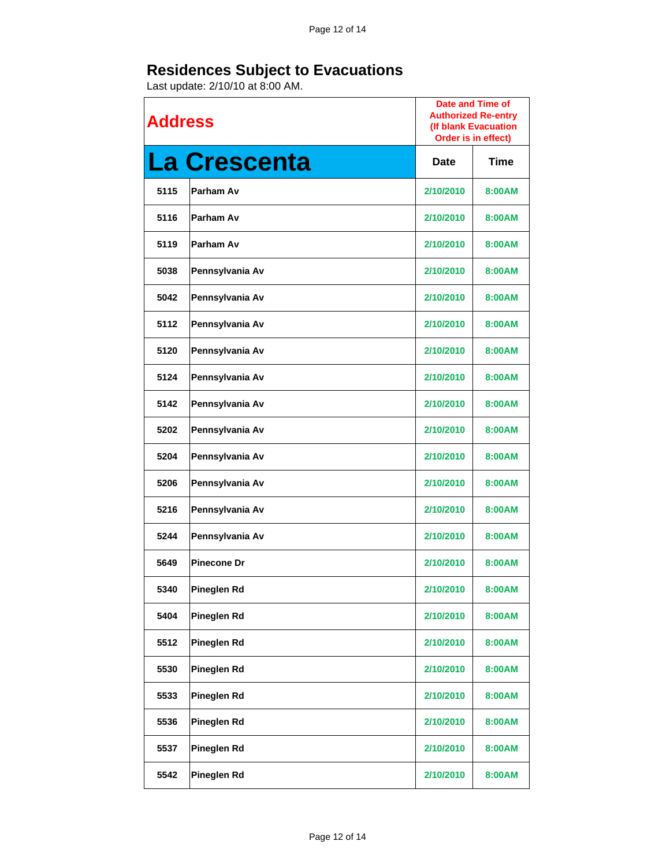| <b>Address</b> |                     | <b>Date and Time of</b><br><b>Authorized Re-entry</b><br>(If blank Evacuation<br>Order is in effect) |        |
|----------------|---------------------|------------------------------------------------------------------------------------------------------|--------|
|                | <b>La Crescenta</b> | Date                                                                                                 | Time   |
| 5115           | Parham Av           | 2/10/2010                                                                                            | 8:00AM |
| 5116           | Parham Av           | 2/10/2010                                                                                            | 8:00AM |
| 5119           | Parham Av           | 2/10/2010                                                                                            | 8:00AM |
| 5038           | Pennsylvania Av     | 2/10/2010                                                                                            | 8:00AM |
| 5042           | Pennsylvania Av     | 2/10/2010                                                                                            | 8:00AM |
| 5112           | Pennsylvania Av     | 2/10/2010                                                                                            | 8:00AM |
| 5120           | Pennsylvania Av     | 2/10/2010                                                                                            | 8:00AM |
| 5124           | Pennsylvania Av     | 2/10/2010                                                                                            | 8:00AM |
| 5142           | Pennsylvania Av     | 2/10/2010                                                                                            | 8:00AM |
| 5202           | Pennsylvania Av     | 2/10/2010                                                                                            | 8:00AM |
| 5204           | Pennsylvania Av     | 2/10/2010                                                                                            | 8:00AM |
| 5206           | Pennsylvania Av     | 2/10/2010                                                                                            | 8:00AM |
| 5216           | Pennsylvania Av     | 2/10/2010                                                                                            | 8:00AM |
| 5244           | Pennsylvania Av     | 2/10/2010                                                                                            | 8:00AM |
| 5649           | <b>Pinecone Dr</b>  | 2/10/2010                                                                                            | 8:00AM |
| 5340           | Pineglen Rd         | 2/10/2010                                                                                            | 8:00AM |
| 5404           | <b>Pineglen Rd</b>  | 2/10/2010                                                                                            | 8:00AM |
| 5512           | <b>Pineglen Rd</b>  | 2/10/2010                                                                                            | 8:00AM |
| 5530           | Pineglen Rd         | 2/10/2010                                                                                            | 8:00AM |
| 5533           | Pineglen Rd         | 2/10/2010                                                                                            | 8:00AM |
| 5536           | Pineglen Rd         | 2/10/2010                                                                                            | 8:00AM |
| 5537           | Pineglen Rd         | 2/10/2010                                                                                            | 8:00AM |
| 5542           | <b>Pineglen Rd</b>  | 2/10/2010                                                                                            | 8:00AM |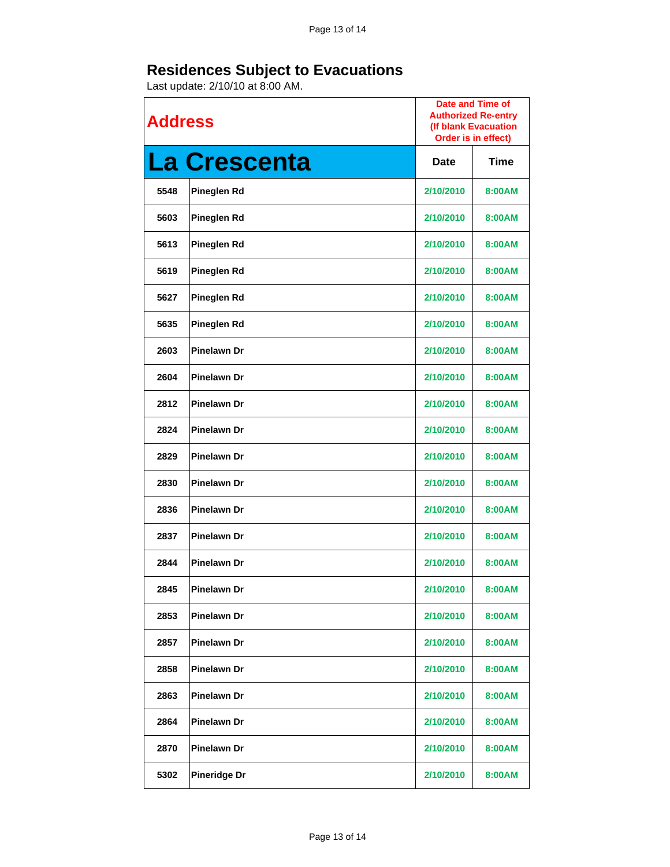| <b>Address</b> |                     | <b>Date and Time of</b><br><b>Authorized Re-entry</b><br>(If blank Evacuation<br>Order is in effect) |        |
|----------------|---------------------|------------------------------------------------------------------------------------------------------|--------|
|                | <b>La Crescenta</b> | <b>Date</b>                                                                                          | Time   |
| 5548           | Pineglen Rd         | 2/10/2010                                                                                            | 8:00AM |
| 5603           | Pineglen Rd         | 2/10/2010                                                                                            | 8:00AM |
| 5613           | <b>Pineglen Rd</b>  | 2/10/2010                                                                                            | 8:00AM |
| 5619           | <b>Pineglen Rd</b>  | 2/10/2010                                                                                            | 8:00AM |
| 5627           | <b>Pineglen Rd</b>  | 2/10/2010                                                                                            | 8:00AM |
| 5635           | <b>Pineglen Rd</b>  | 2/10/2010                                                                                            | 8:00AM |
| 2603           | <b>Pinelawn Dr</b>  | 2/10/2010                                                                                            | 8:00AM |
| 2604           | <b>Pinelawn Dr</b>  | 2/10/2010                                                                                            | 8:00AM |
| 2812           | <b>Pinelawn Dr</b>  | 2/10/2010                                                                                            | 8:00AM |
| 2824           | <b>Pinelawn Dr</b>  | 2/10/2010                                                                                            | 8:00AM |
| 2829           | <b>Pinelawn Dr</b>  | 2/10/2010                                                                                            | 8:00AM |
| 2830           | <b>Pinelawn Dr</b>  | 2/10/2010                                                                                            | 8:00AM |
| 2836           | <b>Pinelawn Dr</b>  | 2/10/2010                                                                                            | 8:00AM |
| 2837           | <b>Pinelawn Dr</b>  | 2/10/2010                                                                                            | 8:00AM |
| 2844           | <b>Pinelawn Dr</b>  | 2/10/2010                                                                                            | 8:00AM |
| 2845           | <b>Pinelawn Dr</b>  | 2/10/2010                                                                                            | 8:00AM |
| 2853           | <b>Pinelawn Dr</b>  | 2/10/2010                                                                                            | 8:00AM |
| 2857           | <b>Pinelawn Dr</b>  | 2/10/2010                                                                                            | 8:00AM |
| 2858           | <b>Pinelawn Dr</b>  | 2/10/2010                                                                                            | 8:00AM |
| 2863           | <b>Pinelawn Dr</b>  | 2/10/2010                                                                                            | 8:00AM |
| 2864           | Pinelawn Dr         | 2/10/2010                                                                                            | 8:00AM |
| 2870           | <b>Pinelawn Dr</b>  | 2/10/2010                                                                                            | 8:00AM |
| 5302           | <b>Pineridge Dr</b> | 2/10/2010                                                                                            | 8:00AM |